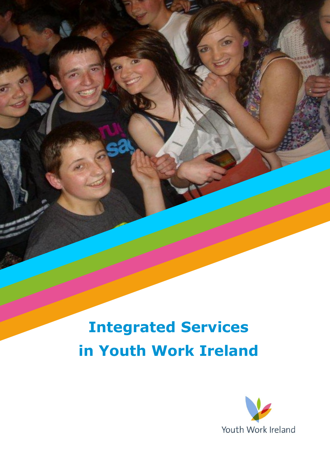# **Integrated Services in Youth Work Ireland**

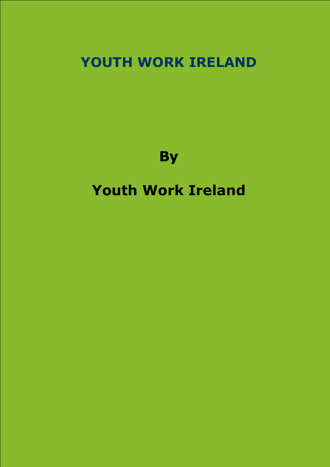## **YOUTH WORK IRELAND**

**By**

## **Youth Work Ireland**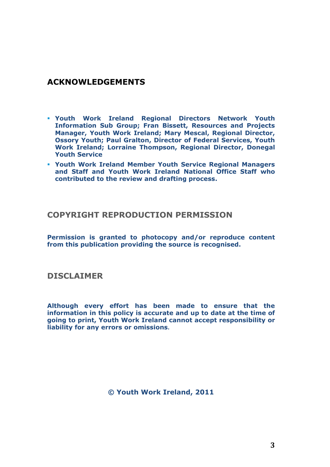### **ACKNOWLEDGEMENTS**

- **Youth Work Ireland Regional Directors Network Youth Information Sub Group; Fran Bissett, Resources and Projects Manager, Youth Work Ireland; Mary Mescal, Regional Director, Ossory Youth; Paul Gralton, Director of Federal Services, Youth Work Ireland; Lorraine Thompson, Regional Director, Donegal Youth Service**
- **Youth Work Ireland Member Youth Service Regional Managers and Staff and Youth Work Ireland National Office Staff who contributed to the review and drafting process.**

#### **COPYRIGHT REPRODUCTION PERMISSION**

**Permission is granted to photocopy and/or reproduce content from this publication providing the source is recognised.**

#### **DISCLAIMER**

**Although every effort has been made to ensure that the information in this policy is accurate and up to date at the time of going to print, Youth Work Ireland cannot accept responsibility or liability for any errors or omissions.**

**© Youth Work Ireland, 2011**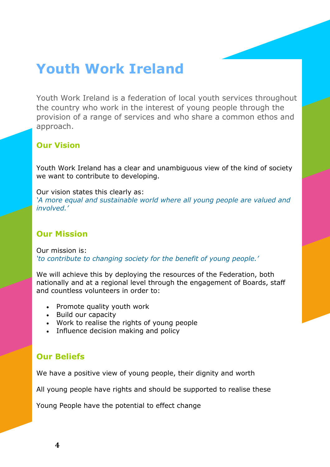## **Youth Work Ireland**

Youth Work Ireland is a federation of local youth services throughout the country who work in the interest of young people through the provision of a range of services and who share a common ethos and approach.

### **Our Vision**

Youth Work Ireland has a clear and unambiguous view of the kind of society we want to contribute to developing.

Our vision states this clearly as: *'A more equal and sustainable world where all young people are valued and involved.'*

### **Our Mission**

Our mission is: *'to contribute to changing society for the benefit of young people.'*

We will achieve this by deploying the resources of the Federation, both nationally and at a regional level through the engagement of Boards, staff and countless volunteers in order to:

- Promote quality youth work
- Build our capacity
- Work to realise the rights of young people
- Influence decision making and policy

### **Our Beliefs**

We have a positive view of young people, their dignity and worth

All young people have rights and should be supported to realise these

Young People have the potential to effect change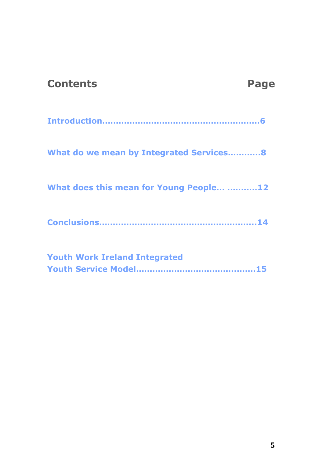| <b>Contents</b>                         | Page |
|-----------------------------------------|------|
|                                         |      |
| What do we mean by Integrated Services8 |      |
| What does this mean for Young People 12 |      |
|                                         |      |
| <b>Youth Work Ireland Integrated</b>    |      |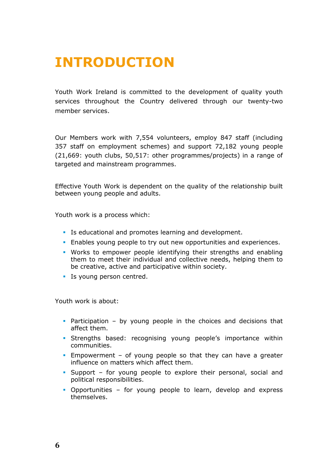## **INTRODUCTION**

Youth Work Ireland is committed to the development of quality youth services throughout the Country delivered through our twenty-two member services.

Our Members work with 7,554 volunteers, employ 847 staff (including 357 staff on employment schemes) and support 72,182 young people (21,669: youth clubs, 50,517: other programmes/projects) in a range of targeted and mainstream programmes.

Effective Youth Work is dependent on the quality of the relationship built between young people and adults.

Youth work is a process which:

- Is educational and promotes learning and development.
- Enables young people to try out new opportunities and experiences.
- Works to empower people identifying their strengths and enabling them to meet their individual and collective needs, helping them to be creative, active and participative within society.
- **Is young person centred.**

Youth work is about:

- Participation by young people in the choices and decisions that affect them.
- Strengths based: recognising young people's importance within communities.
- **Empowerment of young people so that they can have a greater** influence on matters which affect them.
- Support for young people to explore their personal, social and political responsibilities.
- Opportunities for young people to learn, develop and express themselves.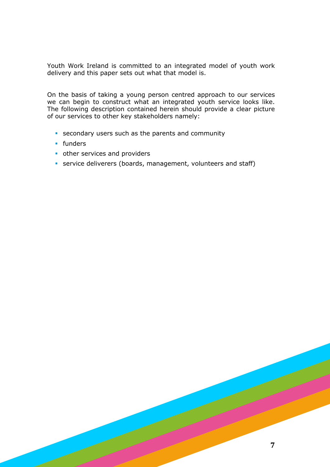Youth Work Ireland is committed to an integrated model of youth work delivery and this paper sets out what that model is.

On the basis of taking a young person centred approach to our services we can begin to construct what an integrated youth service looks like. The following description contained herein should provide a clear picture of our services to other key stakeholders namely:

- secondary users such as the parents and community
- **funders**
- **other services and providers**
- service deliverers (boards, management, volunteers and staff)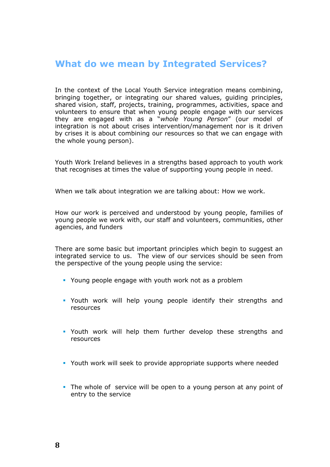### **What do we mean by Integrated Services?**

In the context of the Local Youth Service integration means combining, bringing together, or integrating our shared values, guiding principles, shared vision, staff, projects, training, programmes, activities, space and volunteers to ensure that when young people engage with our services they are engaged with as a "*whole Young Person*" (our model of integration is not about crises intervention/management nor is it driven by crises it is about combining our resources so that we can engage with the whole young person).

Youth Work Ireland believes in a strengths based approach to youth work that recognises at times the value of supporting young people in need.

When we talk about integration we are talking about: How we work.

How our work is perceived and understood by young people, families of young people we work with, our staff and volunteers, communities, other agencies, and funders

There are some basic but important principles which begin to suggest an integrated service to us. The view of our services should be seen from the perspective of the young people using the service:

- Young people engage with youth work not as a problem
- Youth work will help young people identify their strengths and resources
- Youth work will help them further develop these strengths and resources
- Youth work will seek to provide appropriate supports where needed
- The whole of service will be open to a young person at any point of entry to the service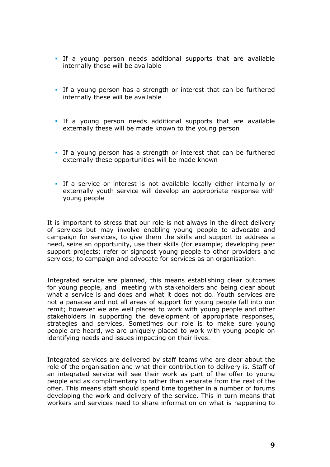- If a young person needs additional supports that are available internally these will be available
- If a young person has a strength or interest that can be furthered internally these will be available
- If a young person needs additional supports that are available externally these will be made known to the young person
- If a young person has a strength or interest that can be furthered externally these opportunities will be made known
- If a service or interest is not available locally either internally or externally youth service will develop an appropriate response with young people

It is important to stress that our role is not always in the direct delivery of services but may involve enabling young people to advocate and campaign for services, to give them the skills and support to address a need, seize an opportunity, use their skills (for example; developing peer support projects; refer or signpost young people to other providers and services; to campaign and advocate for services as an organisation.

Integrated service are planned, this means establishing clear outcomes for young people, and meeting with stakeholders and being clear about what a service is and does and what it does not do. Youth services are not a panacea and not all areas of support for young people fall into our remit; however we are well placed to work with young people and other stakeholders in supporting the development of appropriate responses, strategies and services. Sometimes our role is to make sure young people are heard, we are uniquely placed to work with young people on identifying needs and issues impacting on their lives.

Integrated services are delivered by staff teams who are clear about the role of the organisation and what their contribution to delivery is. Staff of an integrated service will see their work as part of the offer to young people and as complimentary to rather than separate from the rest of the offer. This means staff should spend time together in a number of forums developing the work and delivery of the service. This in turn means that workers and services need to share information on what is happening to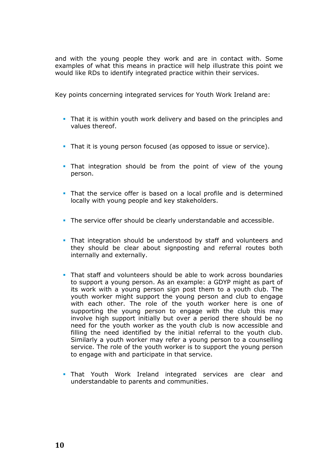and with the young people they work and are in contact with. Some examples of what this means in practice will help illustrate this point we would like RDs to identify integrated practice within their services.

Key points concerning integrated services for Youth Work Ireland are:

- That it is within youth work delivery and based on the principles and values thereof.
- That it is young person focused (as opposed to issue or service).
- That integration should be from the point of view of the young person.
- That the service offer is based on a local profile and is determined locally with young people and key stakeholders.
- The service offer should be clearly understandable and accessible.
- That integration should be understood by staff and volunteers and they should be clear about signposting and referral routes both internally and externally.
- That staff and volunteers should be able to work across boundaries to support a young person. As an example: a GDYP might as part of its work with a young person sign post them to a youth club. The youth worker might support the young person and club to engage with each other. The role of the youth worker here is one of supporting the young person to engage with the club this may involve high support initially but over a period there should be no need for the youth worker as the youth club is now accessible and filling the need identified by the initial referral to the youth club. Similarly a youth worker may refer a young person to a counselling service. The role of the youth worker is to support the young person to engage with and participate in that service.
- That Youth Work Ireland integrated services are clear and understandable to parents and communities.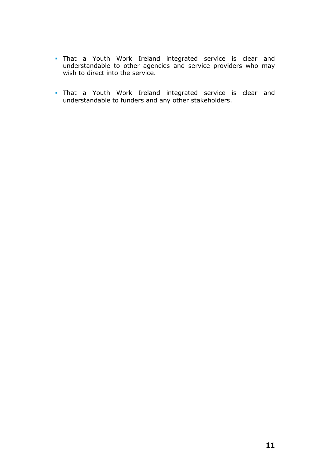- That a Youth Work Ireland integrated service is clear and understandable to other agencies and service providers who may wish to direct into the service.
- That a Youth Work Ireland integrated service is clear and understandable to funders and any other stakeholders.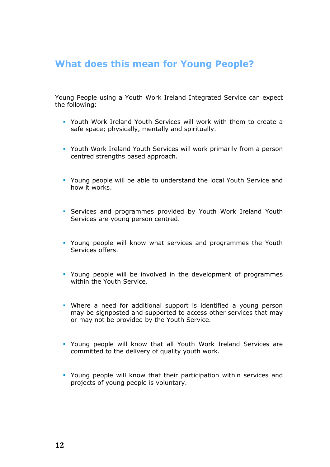## **What does this mean for Young People?**

Young People using a Youth Work Ireland Integrated Service can expect the following:

- Youth Work Ireland Youth Services will work with them to create a safe space; physically, mentally and spiritually.
- Youth Work Ireland Youth Services will work primarily from a person centred strengths based approach.
- Young people will be able to understand the local Youth Service and how it works.
- Services and programmes provided by Youth Work Ireland Youth Services are young person centred.
- Young people will know what services and programmes the Youth Services offers.
- Young people will be involved in the development of programmes within the Youth Service.
- Where a need for additional support is identified a young person may be signposted and supported to access other services that may or may not be provided by the Youth Service.
- Young people will know that all Youth Work Ireland Services are committed to the delivery of quality youth work.
- Young people will know that their participation within services and projects of young people is voluntary.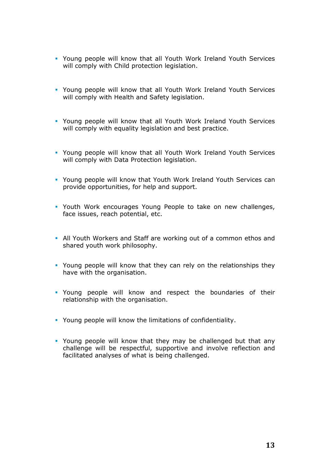- Young people will know that all Youth Work Ireland Youth Services will comply with Child protection legislation.
- Young people will know that all Youth Work Ireland Youth Services will comply with Health and Safety legislation.
- Young people will know that all Youth Work Ireland Youth Services will comply with equality legislation and best practice.
- Young people will know that all Youth Work Ireland Youth Services will comply with Data Protection legislation.
- Young people will know that Youth Work Ireland Youth Services can provide opportunities, for help and support.
- Youth Work encourages Young People to take on new challenges, face issues, reach potential, etc.
- All Youth Workers and Staff are working out of a common ethos and shared youth work philosophy.
- Young people will know that they can rely on the relationships they have with the organisation.
- Young people will know and respect the boundaries of their relationship with the organisation.
- Young people will know the limitations of confidentiality.
- Young people will know that they may be challenged but that any challenge will be respectful, supportive and involve reflection and facilitated analyses of what is being challenged.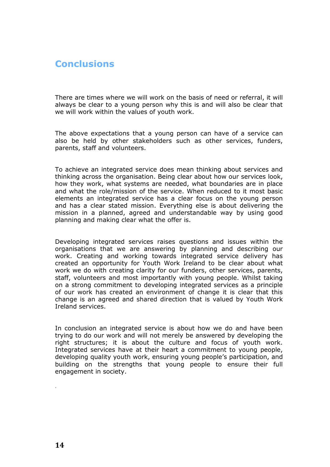## **Conclusions**

There are times where we will work on the basis of need or referral, it will always be clear to a young person why this is and will also be clear that we will work within the values of youth work.

The above expectations that a young person can have of a service can also be held by other stakeholders such as other services, funders, parents, staff and volunteers.

To achieve an integrated service does mean thinking about services and thinking across the organisation. Being clear about how our services look, how they work, what systems are needed, what boundaries are in place and what the role/mission of the service. When reduced to it most basic elements an integrated service has a clear focus on the young person and has a clear stated mission. Everything else is about delivering the mission in a planned, agreed and understandable way by using good planning and making clear what the offer is.

Developing integrated services raises questions and issues within the organisations that we are answering by planning and describing our work. Creating and working towards integrated service delivery has created an opportunity for Youth Work Ireland to be clear about what work we do with creating clarity for our funders, other services, parents, staff, volunteers and most importantly with young people. Whilst taking on a strong commitment to developing integrated services as a principle of our work has created an environment of change it is clear that this change is an agreed and shared direction that is valued by Youth Work Ireland services.

In conclusion an integrated service is about how we do and have been trying to do our work and will not merely be answered by developing the right structures; it is about the culture and focus of youth work. Integrated services have at their heart a commitment to young people, developing quality youth work, ensuring young people's participation, and building on the strengths that young people to ensure their full engagement in society.

.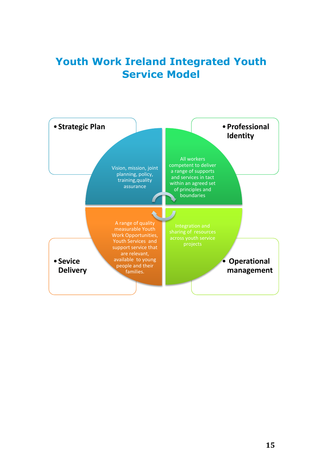## **Youth Work Ireland Integrated Youth Service Model**

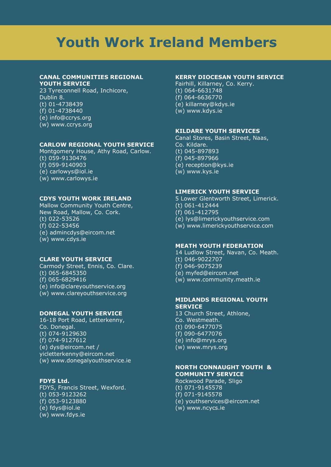## **Youth Work Ireland Members**

#### **CANAL COMMUNITIES REGIONAL YOUTH SERVICE**

23 Tyreconnell Road, Inchicore, Dublin 8. (t) 01-4738439 (f) 01-4738440 (e) info@ccrys.org (w) www.ccrys.org

#### **CARLOW REGIONAL YOUTH SERVICE**

Montgomery House, Athy Road, Carlow. (t) 059-9130476  $( f) 059 - 9140903$ (e) carlowys@iol.ie (w) www.carlowys.ie

#### **CDYS YOUTH WORK IRELAND**

Mallow Community Youth Centre, New Road, Mallow, Co. Cork. (t) 022-53526 (f) 022-53456 (e) admincdys@eircom.net (w) www.cdys.ie

#### **CLARE YOUTH SERVICE**

Carmody Street, Ennis, Co. Clare. (t) 065-6845350  $( f) 065 - 6829416$ (e) info@clareyouthservice.org (w) www.clareyouthservice.org

#### **DONEGAL YOUTH SERVICE**

16-18 Port Road, Letterkenny, Co. Donegal. (t) 074-9129630 (f) 074-9127612 (e) dys@eircom.net / yicletterkenny@eircom.net (w) www.donegalyouthservice.ie

#### **FDYS Ltd.**

FDYS, Francis Street, Wexford. (t) 053-9123262 (f) 053-9123880 (e) fdys@iol.ie (w) www.fdys.ie

#### **KERRY DIOCESAN YOUTH SERVICE**

Fairhill, Killarney, Co. Kerry.  $(t)$  064-6631748 (f) 064-6636770 (e) killarney@kdys.ie (w) www.kdys.ie

#### **KILDARE YOUTH SERVICES**

Canal Stores, Basin Street, Naas, Co. Kildare. (t) 045-897893 (f) 045-897966 (e) reception@kys.ie (w) www.kys.ie

#### **LIMERICK YOUTH SERVICE**

5 Lower Glentworth Street, Limerick.  $(t)$  061-412444 (f) 061-412795 (e) lys@limerickyouthservice.com (w) www.limerickyouthservice.com

#### **MEATH YOUTH FEDERATION**

14 Ludlow Street, Navan, Co. Meath.

- (t) 046-9022707
- (f) 046-9075239
- (e) myfed@eircom.net
- (w) www.community.meath.ie

#### **MIDLANDS REGIONAL YOUTH SERVICE**

13 Church Street, Athlone, Co. Westmeath. (t) 090-6477075 (f) 090-6477076 (e) info@mrys.org (w) www.mrys.org

#### **NORTH CONNAUGHT YOUTH & COMMUNITY SERVICE**

Rockwood Parade, Sligo (t) 071-9145578 (f) 071-9145578 (e) youthservices@eircom.net (w) www.ncycs.ie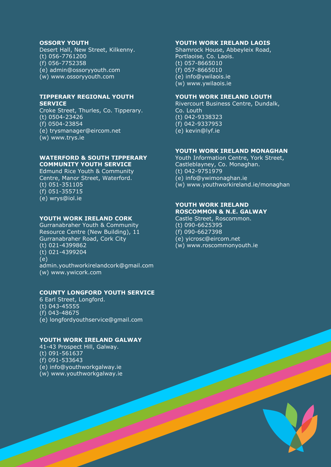#### **OSSORY YOUTH**

Desert Hall, New Street, Kilkenny. (t) 056-7761200 (f) 056-7752358 (e) admin@ossoryyouth.com (w) www.ossoryyouth.com

#### **TIPPERARY REGIONAL YOUTH SERVICE**

Croke Street, Thurles, Co. Tipperary. (t) 0504-23426 (f) 0504-23854 (e) trysmanager@eircom.net (w) www.trys.ie

#### **WATERFORD & SOUTH TIPPERARY COMMUNITY YOUTH SERVICE**

Edmund Rice Youth & Community Centre, Manor Street, Waterford. (t) 051-351105 (f) 051-355715 (e) wrys@iol.ie

#### **YOUTH WORK IRELAND CORK**

Gurranabraher Youth & Community Resource Centre (New Building), 11 Gurranabraher Road, Cork City (t) 021-4399862 (t) 021-4399204 (e) admin.youthworkirelandcork@gmail.com (w) www.ywicork.com

#### **COUNTY LONGFORD YOUTH SERVICE**

6 Earl Street, Longford. (t) 043-45555 (f) 043-48675 (e) longfordyouthservice@gmail.com

#### **YOUTH WORK IRELAND GALWAY**

41-43 Prospect Hill, Galway. (t) 091-561637 (f) 091-533643 (e) info@youthworkgalway.ie

(w) www.youthworkgalway.ie

#### **YOUTH WORK IRELAND LAOIS**

Shamrock House, Abbeyleix Road, Portlaoise, Co. Laois. (t) 057-8665010 (f) 057-8665010 (e) info@ywilaois.ie (w) www.ywilaois.ie

#### **YOUTH WORK IRELAND LOUTH**

Rivercourt Business Centre, Dundalk, Co. Louth (t) 042-9338323 (f) 042-9337953 (e) kevin@lyf.ie

#### **YOUTH WORK IRELAND MONAGHAN**

Youth Information Centre, York Street, Castleblayney, Co. Monaghan. (t) 042-9751979 (e) info@ywimonaghan.ie (w) www.youthworkireland.ie/monaghan

#### **YOUTH WORK IRELAND ROSCOMMON & N.E. GALWAY**

Castle Street, Roscommon.

- (t) 090-6625395
- (f) 090-6627398
- (e) yicrosc@eircom.net
- (w) www.roscommonyouth.ie